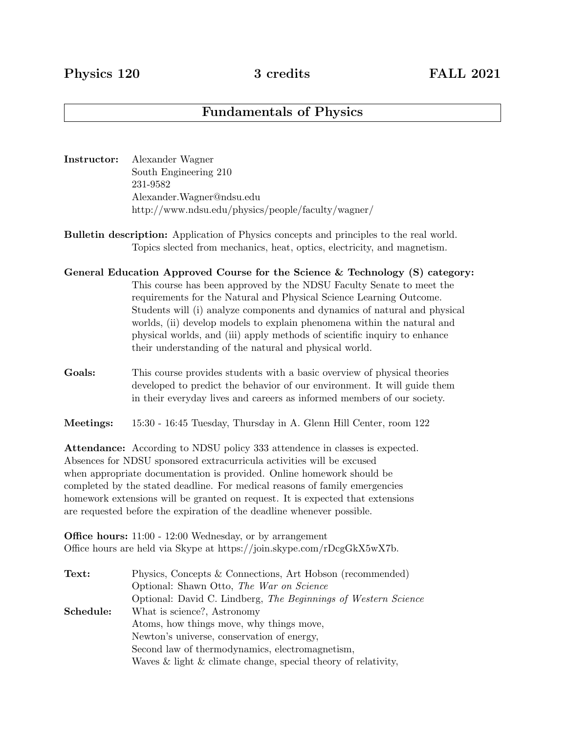# Fundamentals of Physics

- Instructor: Alexander Wagner South Engineering 210 231-9582 Alexander.Wagner@ndsu.edu http://www.ndsu.edu/physics/people/faculty/wagner/
- Bulletin description: Application of Physics concepts and principles to the real world. Topics slected from mechanics, heat, optics, electricity, and magnetism.
- General Education Approved Course for the Science & Technology (S) category: This course has been approved by the NDSU Faculty Senate to meet the requirements for the Natural and Physical Science Learning Outcome. Students will (i) analyze components and dynamics of natural and physical worlds, (ii) develop models to explain phenomena within the natural and physical worlds, and (iii) apply methods of scientific inquiry to enhance their understanding of the natural and physical world.
- Goals: This course provides students with a basic overview of physical theories developed to predict the behavior of our environment. It will guide them in their everyday lives and careers as informed members of our society.
- Meetings: 15:30 16:45 Tuesday, Thursday in A. Glenn Hill Center, room 122

Attendance: According to NDSU policy 333 attendence in classes is expected. Absences for NDSU sponsored extracurricula activities will be excused when appropriate documentation is provided. Online homework should be completed by the stated deadline. For medical reasons of family emergencies homework extensions will be granted on request. It is expected that extensions are requested before the expiration of the deadline whenever possible.

Office hours: 11:00 - 12:00 Wednesday, or by arrangement Office hours are held via Skype at https://join.skype.com/rDcgGkX5wX7b.

| Text:     | Physics, Concepts & Connections, Art Hobson (recommended)           |
|-----------|---------------------------------------------------------------------|
|           | Optional: Shawn Otto, The War on Science                            |
|           | Optional: David C. Lindberg, The Beginnings of Western Science      |
| Schedule: | What is science?, Astronomy                                         |
|           | Atoms, how things move, why things move,                            |
|           | Newton's universe, conservation of energy,                          |
|           | Second law of thermodynamics, electromagnetism,                     |
|           | Waves $\&$ light $\&$ climate change, special theory of relativity, |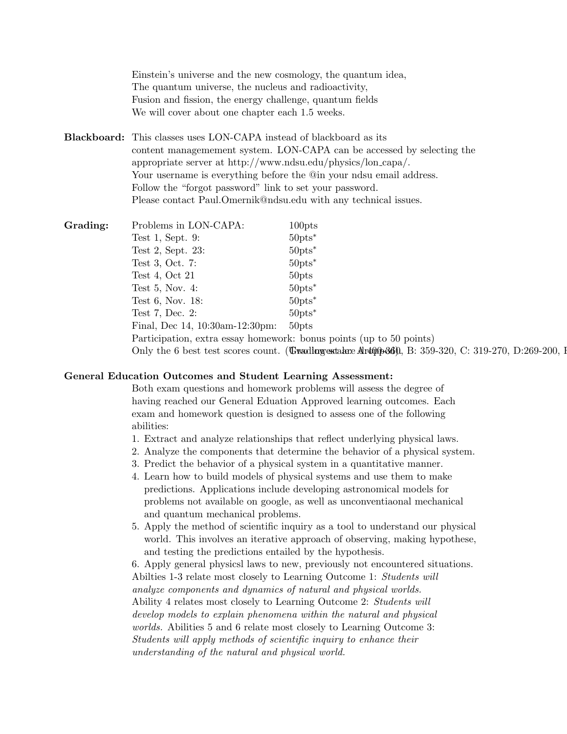Einstein's universe and the new cosmology, the quantum idea, The quantum universe, the nucleus and radioactivity, Fusion and fission, the energy challenge, quantum fields We will cover about one chapter each 1.5 weeks.

Blackboard: This classes uses LON-CAPA instead of blackboard as its content managemement system. LON-CAPA can be accessed by selecting the appropriate server at http://www.ndsu.edu/physics/lon capa/. Your username is everything before the @in your ndsu email address. Follow the "forgot password" link to set your password. Please contact Paul.Omernik@ndsu.edu with any technical issues.

Grading: Problems in LON-CAPA: 100pts Test 1, Sept. 9:  $50 \text{pts}^*$ Test 2, Sept. 23: 50pts<sup>∗</sup> Test 3, Oct. 7:  $50 \text{pts}^*$ Test 4, Oct 21  $50 \text{pts}$ Test 5, Nov. 4:  $50 \text{pts}^*$ Test 6, Nov. 18: 50pts<sup>∗</sup> Test 7, Dec. 2:  $50 \text{pts}^*$ Final, Dec 14, 10:30am-12:30pm: 50pts Participation, extra essay homework: bonus points (up to 50 points) Only the 6 best test scores count. (**Trading estate: Artopped)**, B:  $359-320$ , C:  $319-270$ , D:269-200, I

### General Education Outcomes and Student Learning Assessment:

Both exam questions and homework problems will assess the degree of having reached our General Eduation Approved learning outcomes. Each exam and homework question is designed to assess one of the following abilities:

- 1. Extract and analyze relationships that reflect underlying physical laws.
- 2. Analyze the components that determine the behavior of a physical system.
- 3. Predict the behavior of a physical system in a quantitative manner.
- 4. Learn how to build models of physical systems and use them to make predictions. Applications include developing astronomical models for problems not available on google, as well as unconventiaonal mechanical and quantum mechanical problems.
- 5. Apply the method of scientific inquiry as a tool to understand our physical world. This involves an iterative approach of observing, making hypothese, and testing the predictions entailed by the hypothesis.

6. Apply general physicsl laws to new, previously not encountered situations. Abilties 1-3 relate most closely to Learning Outcome 1: Students will analyze components and dynamics of natural and physical worlds. Ability 4 relates most closely to Learning Outcome 2: Students will develop models to explain phenomena within the natural and physical worlds. Abilities 5 and 6 relate most closely to Learning Outcome 3: Students will apply methods of scientific inquiry to enhance their understanding of the natural and physical world.